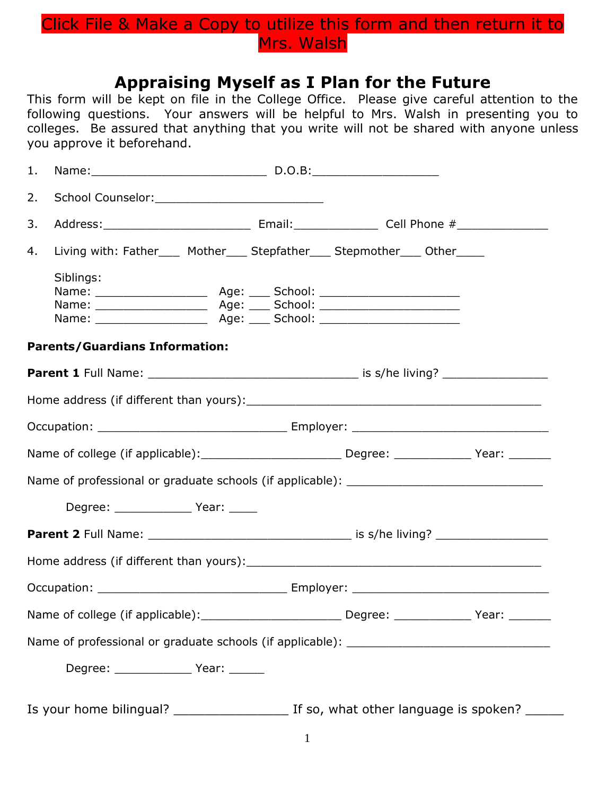## Click File & Make a Copy to utilize this form and then return it to Mrs. Walsh

# **Appraising Myself as I Plan for the Future**

This form will be kept on file in the College Office. Please give careful attention to the following questions. Your answers will be helpful to Mrs. Walsh in presenting you to colleges. Be assured that anything that you write will not be shared with anyone unless you approve it beforehand.

| 1. |                                                                                   |  |  |
|----|-----------------------------------------------------------------------------------|--|--|
| 2. | School Counselor: ______________________________                                  |  |  |
| 3. |                                                                                   |  |  |
| 4. | Living with: Father____ Mother____ Stepfather____ Stepmother____ Other_____       |  |  |
|    | Siblings:                                                                         |  |  |
|    |                                                                                   |  |  |
|    |                                                                                   |  |  |
|    | <b>Parents/Guardians Information:</b>                                             |  |  |
|    |                                                                                   |  |  |
|    |                                                                                   |  |  |
|    |                                                                                   |  |  |
|    |                                                                                   |  |  |
|    | Name of professional or graduate schools (if applicable): _______________________ |  |  |
|    |                                                                                   |  |  |
|    |                                                                                   |  |  |
|    |                                                                                   |  |  |
|    |                                                                                   |  |  |
|    |                                                                                   |  |  |
|    | Name of professional or graduate schools (if applicable): _______________________ |  |  |
|    |                                                                                   |  |  |
|    |                                                                                   |  |  |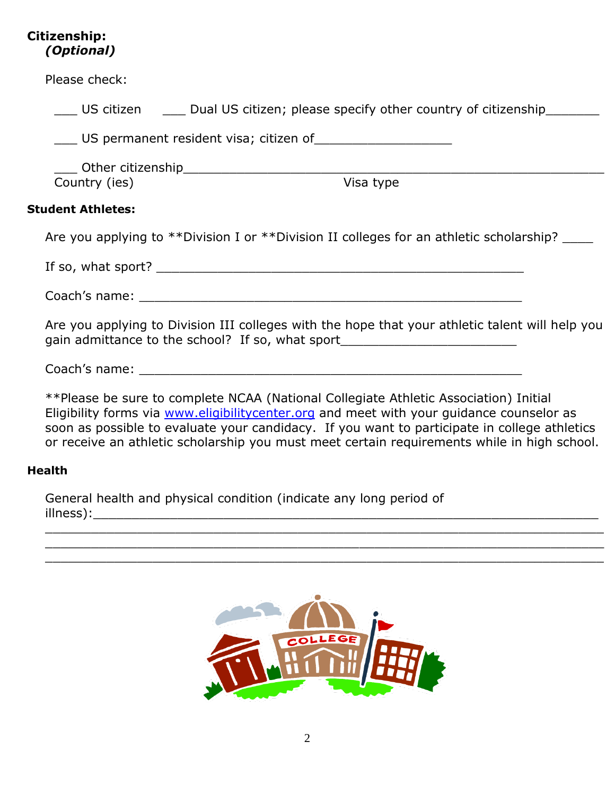### **Citizenship:** *(Optional)*

| Please check:            |                                                                                                                                                                                                                                                                                  |
|--------------------------|----------------------------------------------------------------------------------------------------------------------------------------------------------------------------------------------------------------------------------------------------------------------------------|
|                          | US citizen _______ Dual US citizen; please specify other country of citizenship________                                                                                                                                                                                          |
|                          |                                                                                                                                                                                                                                                                                  |
| Country (ies)            | Visa type                                                                                                                                                                                                                                                                        |
| <b>Student Athletes:</b> |                                                                                                                                                                                                                                                                                  |
|                          | Are you applying to **Division I or **Division II colleges for an athletic scholarship?                                                                                                                                                                                          |
|                          |                                                                                                                                                                                                                                                                                  |
|                          |                                                                                                                                                                                                                                                                                  |
|                          | Are you applying to Division III colleges with the hope that your athletic talent will help you<br>gain admittance to the school? If so, what sport________________________________                                                                                              |
|                          |                                                                                                                                                                                                                                                                                  |
|                          | **Please be sure to complete NCAA (National Collegiate Athletic Association) Initial<br>Eligibility forms via www.eligibilitycenter.org and meet with your guidance counselor as<br>soon as possible to evaluate your candidacy. If you want to participate in college athletics |

or receive an athletic scholarship you must meet certain requirements while in high school.

\_\_\_\_\_\_\_\_\_\_\_\_\_\_\_\_\_\_\_\_\_\_\_\_\_\_\_\_\_\_\_\_\_\_\_\_\_\_\_\_\_\_\_\_\_\_\_\_\_\_\_\_\_\_\_\_\_\_\_\_\_\_\_\_\_\_\_\_\_\_\_\_\_ \_\_\_\_\_\_\_\_\_\_\_\_\_\_\_\_\_\_\_\_\_\_\_\_\_\_\_\_\_\_\_\_\_\_\_\_\_\_\_\_\_\_\_\_\_\_\_\_\_\_\_\_\_\_\_\_\_\_\_\_\_\_\_\_\_\_\_\_\_\_\_\_\_ \_\_\_\_\_\_\_\_\_\_\_\_\_\_\_\_\_\_\_\_\_\_\_\_\_\_\_\_\_\_\_\_\_\_\_\_\_\_\_\_\_\_\_\_\_\_\_\_\_\_\_\_\_\_\_\_\_\_\_\_\_\_\_\_\_\_\_\_\_\_\_\_\_

#### **Health**

|           | General health and physical condition (indicate any long period of |  |  |  |  |
|-----------|--------------------------------------------------------------------|--|--|--|--|
| illness): |                                                                    |  |  |  |  |

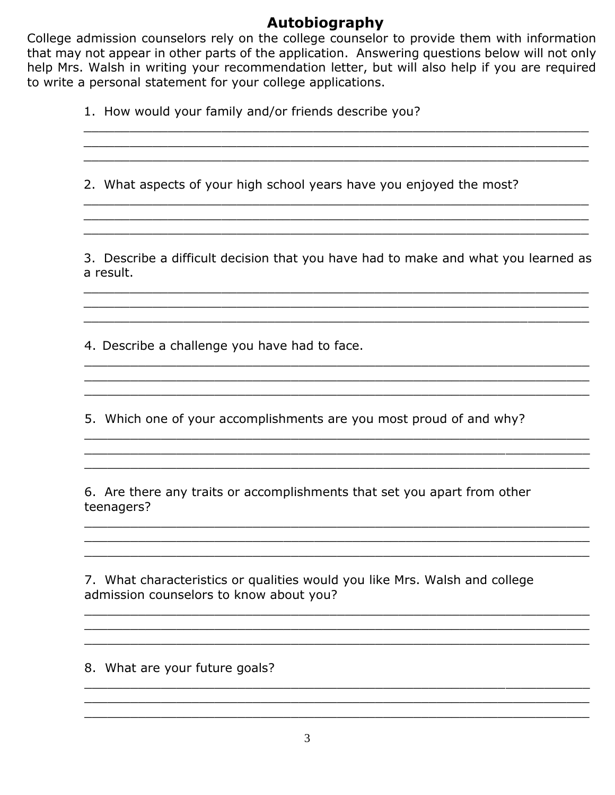### **Autobiography**

College admission counselors rely on the college counselor to provide them with information that may not appear in other parts of the application. Answering questions below will not only help Mrs. Walsh in writing your recommendation letter, but will also help if you are required to write a personal statement for your college applications.

1. How would your family and/or friends describe you?

2.What aspects of your high school years have you enjoyed the most?

3.Describe a difficult decision that you have had to make and what you learned as a result.

\_\_\_\_\_\_\_\_\_\_\_\_\_\_\_\_\_\_\_\_\_\_\_\_\_\_\_\_\_\_\_\_\_\_\_\_\_\_\_\_\_\_\_\_\_\_\_\_\_\_\_\_\_\_\_\_\_\_\_\_\_\_\_\_\_\_ \_\_\_\_\_\_\_\_\_\_\_\_\_\_\_\_\_\_\_\_\_\_\_\_\_\_\_\_\_\_\_\_\_\_\_\_\_\_\_\_\_\_\_\_\_\_\_\_\_\_\_\_\_\_\_\_\_\_\_\_\_\_\_\_\_\_ \_\_\_\_\_\_\_\_\_\_\_\_\_\_\_\_\_\_\_\_\_\_\_\_\_\_\_\_\_\_\_\_\_\_\_\_\_\_\_\_\_\_\_\_\_\_\_\_\_\_\_\_\_\_\_\_\_\_\_\_\_\_\_\_\_\_

\_\_\_\_\_\_\_\_\_\_\_\_\_\_\_\_\_\_\_\_\_\_\_\_\_\_\_\_\_\_\_\_\_\_\_\_\_\_\_\_\_\_\_\_\_\_\_\_\_\_\_\_\_\_\_\_\_\_\_\_\_\_\_\_\_\_ \_\_\_\_\_\_\_\_\_\_\_\_\_\_\_\_\_\_\_\_\_\_\_\_\_\_\_\_\_\_\_\_\_\_\_\_\_\_\_\_\_\_\_\_\_\_\_\_\_\_\_\_\_\_\_\_\_\_\_\_\_\_\_\_\_\_ \_\_\_\_\_\_\_\_\_\_\_\_\_\_\_\_\_\_\_\_\_\_\_\_\_\_\_\_\_\_\_\_\_\_\_\_\_\_\_\_\_\_\_\_\_\_\_\_\_\_\_\_\_\_\_\_\_\_\_\_\_\_\_\_\_\_

\_\_\_\_\_\_\_\_\_\_\_\_\_\_\_\_\_\_\_\_\_\_\_\_\_\_\_\_\_\_\_\_\_\_\_\_\_\_\_\_\_\_\_\_\_\_\_\_\_\_\_\_\_\_\_\_\_\_\_\_\_\_\_\_\_\_ \_\_\_\_\_\_\_\_\_\_\_\_\_\_\_\_\_\_\_\_\_\_\_\_\_\_\_\_\_\_\_\_\_\_\_\_\_\_\_\_\_\_\_\_\_\_\_\_\_\_\_\_\_\_\_\_\_\_\_\_\_\_\_\_\_\_ \_\_\_\_\_\_\_\_\_\_\_\_\_\_\_\_\_\_\_\_\_\_\_\_\_\_\_\_\_\_\_\_\_\_\_\_\_\_\_\_\_\_\_\_\_\_\_\_\_\_\_\_\_\_\_\_\_\_\_\_\_\_\_\_\_\_

\_\_\_\_\_\_\_\_\_\_\_\_\_\_\_\_\_\_\_\_\_\_\_\_\_\_\_\_\_\_\_\_\_\_\_\_\_\_\_\_\_\_\_\_\_\_\_\_\_\_\_\_\_\_\_\_\_\_\_\_\_\_\_\_\_\_  $\_$  , and the set of the set of the set of the set of the set of the set of the set of the set of the set of the set of the set of the set of the set of the set of the set of the set of the set of the set of the set of th \_\_\_\_\_\_\_\_\_\_\_\_\_\_\_\_\_\_\_\_\_\_\_\_\_\_\_\_\_\_\_\_\_\_\_\_\_\_\_\_\_\_\_\_\_\_\_\_\_\_\_\_\_\_\_\_\_\_\_\_\_\_\_\_\_\_

\_\_\_\_\_\_\_\_\_\_\_\_\_\_\_\_\_\_\_\_\_\_\_\_\_\_\_\_\_\_\_\_\_\_\_\_\_\_\_\_\_\_\_\_\_\_\_\_\_\_\_\_\_\_\_\_\_\_\_\_\_\_\_\_\_\_ \_\_\_\_\_\_\_\_\_\_\_\_\_\_\_\_\_\_\_\_\_\_\_\_\_\_\_\_\_\_\_\_\_\_\_\_\_\_\_\_\_\_\_\_\_\_\_\_\_\_\_\_\_\_\_\_\_\_\_\_\_\_\_\_\_\_ \_\_\_\_\_\_\_\_\_\_\_\_\_\_\_\_\_\_\_\_\_\_\_\_\_\_\_\_\_\_\_\_\_\_\_\_\_\_\_\_\_\_\_\_\_\_\_\_\_\_\_\_\_\_\_\_\_\_\_\_\_\_\_\_\_\_

\_\_\_\_\_\_\_\_\_\_\_\_\_\_\_\_\_\_\_\_\_\_\_\_\_\_\_\_\_\_\_\_\_\_\_\_\_\_\_\_\_\_\_\_\_\_\_\_\_\_\_\_\_\_\_\_\_\_\_\_\_\_\_\_\_\_ \_\_\_\_\_\_\_\_\_\_\_\_\_\_\_\_\_\_\_\_\_\_\_\_\_\_\_\_\_\_\_\_\_\_\_\_\_\_\_\_\_\_\_\_\_\_\_\_\_\_\_\_\_\_\_\_\_\_\_\_\_\_\_\_\_\_ \_\_\_\_\_\_\_\_\_\_\_\_\_\_\_\_\_\_\_\_\_\_\_\_\_\_\_\_\_\_\_\_\_\_\_\_\_\_\_\_\_\_\_\_\_\_\_\_\_\_\_\_\_\_\_\_\_\_\_\_\_\_\_\_\_\_

\_\_\_\_\_\_\_\_\_\_\_\_\_\_\_\_\_\_\_\_\_\_\_\_\_\_\_\_\_\_\_\_\_\_\_\_\_\_\_\_\_\_\_\_\_\_\_\_\_\_\_\_\_\_\_\_\_\_\_\_\_\_\_\_\_\_ \_\_\_\_\_\_\_\_\_\_\_\_\_\_\_\_\_\_\_\_\_\_\_\_\_\_\_\_\_\_\_\_\_\_\_\_\_\_\_\_\_\_\_\_\_\_\_\_\_\_\_\_\_\_\_\_\_\_\_\_\_\_\_\_\_\_ \_\_\_\_\_\_\_\_\_\_\_\_\_\_\_\_\_\_\_\_\_\_\_\_\_\_\_\_\_\_\_\_\_\_\_\_\_\_\_\_\_\_\_\_\_\_\_\_\_\_\_\_\_\_\_\_\_\_\_\_\_\_\_\_\_\_

\_\_\_\_\_\_\_\_\_\_\_\_\_\_\_\_\_\_\_\_\_\_\_\_\_\_\_\_\_\_\_\_\_\_\_\_\_\_\_\_\_\_\_\_\_\_\_\_\_\_\_\_\_\_\_\_\_\_\_\_\_\_\_\_\_\_ \_\_\_\_\_\_\_\_\_\_\_\_\_\_\_\_\_\_\_\_\_\_\_\_\_\_\_\_\_\_\_\_\_\_\_\_\_\_\_\_\_\_\_\_\_\_\_\_\_\_\_\_\_\_\_\_\_\_\_\_\_\_\_\_\_\_ \_\_\_\_\_\_\_\_\_\_\_\_\_\_\_\_\_\_\_\_\_\_\_\_\_\_\_\_\_\_\_\_\_\_\_\_\_\_\_\_\_\_\_\_\_\_\_\_\_\_\_\_\_\_\_\_\_\_\_\_\_\_\_\_\_\_

4. Describe a challenge you have had to face.

5. Which one of your accomplishments are you most proud of and why?

6.Are there any traits or accomplishments that set you apart from other teenagers?

7.What characteristics or qualities would you like Mrs. Walsh and college admission counselors to know about you?

8. What are your future goals?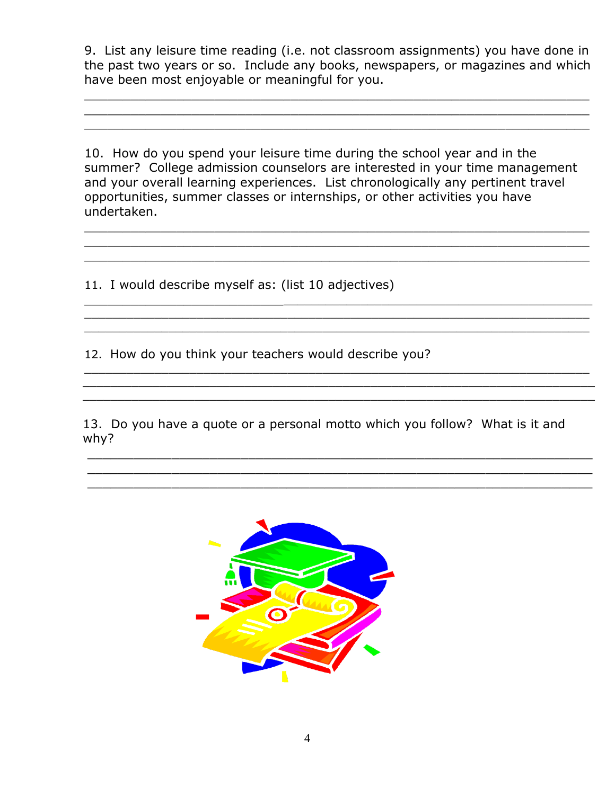9.List any leisure time reading (i.e. not classroom assignments) you have done in the past two years or so. Include any books, newspapers, or magazines and which have been most enjoyable or meaningful for you.

\_\_\_\_\_\_\_\_\_\_\_\_\_\_\_\_\_\_\_\_\_\_\_\_\_\_\_\_\_\_\_\_\_\_\_\_\_\_\_\_\_\_\_\_\_\_\_\_\_\_\_\_\_\_\_\_\_\_\_\_\_\_\_\_\_\_ \_\_\_\_\_\_\_\_\_\_\_\_\_\_\_\_\_\_\_\_\_\_\_\_\_\_\_\_\_\_\_\_\_\_\_\_\_\_\_\_\_\_\_\_\_\_\_\_\_\_\_\_\_\_\_\_\_\_\_\_\_\_\_\_\_\_  $\overline{\phantom{a}}$  , and the contribution of the contribution of the contribution of the contribution of the contribution of the contribution of the contribution of the contribution of the contribution of the contribution of the

10. How do you spend your leisure time during the school year and in the summer? College admission counselors are interested in your time management and your overall learning experiences. List chronologically any pertinent travel opportunities, summer classes or internships, or other activities you have undertaken.

\_\_\_\_\_\_\_\_\_\_\_\_\_\_\_\_\_\_\_\_\_\_\_\_\_\_\_\_\_\_\_\_\_\_\_\_\_\_\_\_\_\_\_\_\_\_\_\_\_\_\_\_\_\_\_\_\_\_\_\_\_\_\_\_\_\_ \_\_\_\_\_\_\_\_\_\_\_\_\_\_\_\_\_\_\_\_\_\_\_\_\_\_\_\_\_\_\_\_\_\_\_\_\_\_\_\_\_\_\_\_\_\_\_\_\_\_\_\_\_\_\_\_\_\_\_\_\_\_\_\_\_\_

\_\_\_\_\_\_\_\_\_\_\_\_\_\_\_\_\_\_\_\_\_\_\_\_\_\_\_\_\_\_\_\_\_\_\_\_\_\_\_\_\_\_\_\_\_\_\_\_\_\_\_\_\_\_\_\_\_\_\_\_\_\_\_\_\_\_\_\_\_\_  $\_$  , and the set of the set of the set of the set of the set of the set of the set of the set of the set of the set of the set of the set of the set of the set of the set of the set of the set of the set of the set of th

 $\_$  ,  $\_$  ,  $\_$  ,  $\_$  ,  $\_$  ,  $\_$  ,  $\_$  ,  $\_$  ,  $\_$  ,  $\_$  ,  $\_$  ,  $\_$  ,  $\_$  ,  $\_$  ,  $\_$  ,  $\_$  ,  $\_$  ,  $\_$  ,  $\_$  ,  $\_$  ,  $\_$  ,  $\_$  ,  $\_$  ,  $\_$  ,  $\_$  ,  $\_$  ,  $\_$  ,  $\_$  ,  $\_$  ,  $\_$  ,  $\_$  ,  $\_$  ,  $\_$  ,  $\_$  ,  $\_$  ,  $\_$  ,  $\_$  ,  $\mathcal{L}_\text{max}$  , and the set of the set of the set of the set of the set of the set of the set of the set of the set of the set of the set of the set of the set of the set of the set of the set of the set of the set of the

 $\_$  , and the set of the set of the set of the set of the set of the set of the set of the set of the set of the set of the set of the set of the set of the set of the set of the set of the set of the set of the set of th \_\_\_\_\_\_\_\_\_\_\_\_\_\_\_\_\_\_\_\_\_\_\_\_\_\_\_\_\_\_\_\_\_\_\_\_\_\_\_\_\_\_\_\_\_\_\_\_\_\_\_\_\_\_\_\_\_\_\_\_\_\_\_\_\_\_ \_\_\_\_\_\_\_\_\_\_\_\_\_\_\_\_\_\_\_\_\_\_\_\_\_\_\_\_\_\_\_\_\_\_\_\_\_\_\_\_\_\_\_\_\_\_\_\_\_\_\_\_\_\_\_\_\_\_\_\_\_\_\_\_\_\_

 $\_$  , and the set of the set of the set of the set of the set of the set of the set of the set of the set of the set of the set of the set of the set of the set of the set of the set of the set of the set of the set of th

 $\mathcal{L}_\text{max} = \frac{1}{2} \sum_{i=1}^n \mathcal{L}_\text{max}(\mathbf{z}_i - \mathbf{z}_i)$ 

11. I would describe myself as: (list 10 adjectives)

12. How do you think your teachers would describe you?

 $\mathcal{L}_\text{max} = \mathcal{L}_\text{max} = \mathcal{L}_\text{max} = \mathcal{L}_\text{max} = \mathcal{L}_\text{max} = \mathcal{L}_\text{max} = \mathcal{L}_\text{max} = \mathcal{L}_\text{max} = \mathcal{L}_\text{max} = \mathcal{L}_\text{max} = \mathcal{L}_\text{max} = \mathcal{L}_\text{max} = \mathcal{L}_\text{max} = \mathcal{L}_\text{max} = \mathcal{L}_\text{max} = \mathcal{L}_\text{max} = \mathcal{L}_\text{max} = \mathcal{L}_\text{max} = \mathcal{$ 

13. Do you have a quote or a personal motto which you follow? What is it and why?

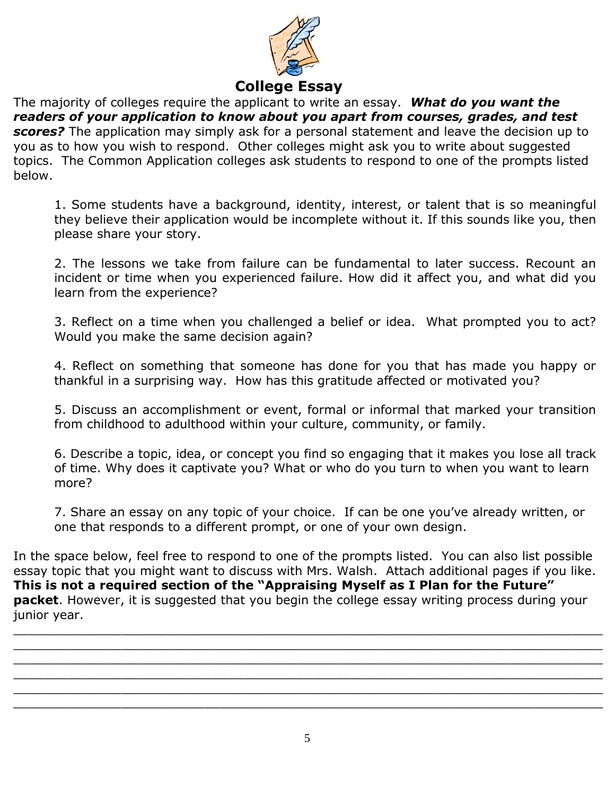

### **College Essay**

The majority of colleges require the applicant to write an essay. *What do you want the readers of your application to know about you apart from courses, grades, and test scores?* The application may simply ask for a personal statement and leave the decision up to you as to how you wish to respond. Other colleges might ask you to write about suggested topics. The Common Application colleges ask students to respond to one of the prompts listed below.

1. Some students have a background, identity, interest, or talent that is so meaningful they believe their application would be incomplete without it. If this sounds like you, then please share your story.

2. The lessons we take from failure can be fundamental to later success. Recount an incident or time when you experienced failure. How did it affect you, and what did you learn from the experience?

3. Reflect on a time when you challenged a belief or idea. What prompted you to act? Would you make the same decision again?

4. Reflect on something that someone has done for you that has made you happy or thankful in a surprising way. How has this gratitude affected or motivated you?

5. Discuss an accomplishment or event, formal or informal that marked your transition from childhood to adulthood within your culture, community, or family.

6. Describe a topic, idea, or concept you find so engaging that it makes you lose all track of time. Why does it captivate you? What or who do you turn to when you want to learn more?

7. Share an essay on any topic of your choice. If can be one you've already written, or one that responds to a different prompt, or one of your own design.

In the space below, feel free to respond to one of the prompts listed. You can also list possible essay topic that you might want to discuss with Mrs. Walsh. Attach additional pages if you like. **This is not a required section of the "Appraising Myself as I Plan for the Future" packet**. However, it is suggested that you begin the college essay writing process during your junior year.

\_\_\_\_\_\_\_\_\_\_\_\_\_\_\_\_\_\_\_\_\_\_\_\_\_\_\_\_\_\_\_\_\_\_\_\_\_\_\_\_\_\_\_\_\_\_\_\_\_\_\_\_\_\_\_\_\_\_\_\_\_\_\_\_\_\_\_\_\_\_\_\_\_\_\_\_\_  $\_$  , and the contribution of the contribution of  $\mathcal{L}_1$  , and the contribution of  $\mathcal{L}_2$  , and the contribution of  $\mathcal{L}_1$ \_\_\_\_\_\_\_\_\_\_\_\_\_\_\_\_\_\_\_\_\_\_\_\_\_\_\_\_\_\_\_\_\_\_\_\_\_\_\_\_\_\_\_\_\_\_\_\_\_\_\_\_\_\_\_\_\_\_\_\_\_\_\_\_\_\_\_\_\_\_\_\_\_\_\_\_\_ \_\_\_\_\_\_\_\_\_\_\_\_\_\_\_\_\_\_\_\_\_\_\_\_\_\_\_\_\_\_\_\_\_\_\_\_\_\_\_\_\_\_\_\_\_\_\_\_\_\_\_\_\_\_\_\_\_\_\_\_\_\_\_\_\_\_\_\_\_\_\_\_\_\_\_\_\_ \_\_\_\_\_\_\_\_\_\_\_\_\_\_\_\_\_\_\_\_\_\_\_\_\_\_\_\_\_\_\_\_\_\_\_\_\_\_\_\_\_\_\_\_\_\_\_\_\_\_\_\_\_\_\_\_\_\_\_\_\_\_\_\_\_\_\_\_\_\_\_\_\_\_\_\_\_ \_\_\_\_\_\_\_\_\_\_\_\_\_\_\_\_\_\_\_\_\_\_\_\_\_\_\_\_\_\_\_\_\_\_\_\_\_\_\_\_\_\_\_\_\_\_\_\_\_\_\_\_\_\_\_\_\_\_\_\_\_\_\_\_\_\_\_\_\_\_\_\_\_\_\_\_\_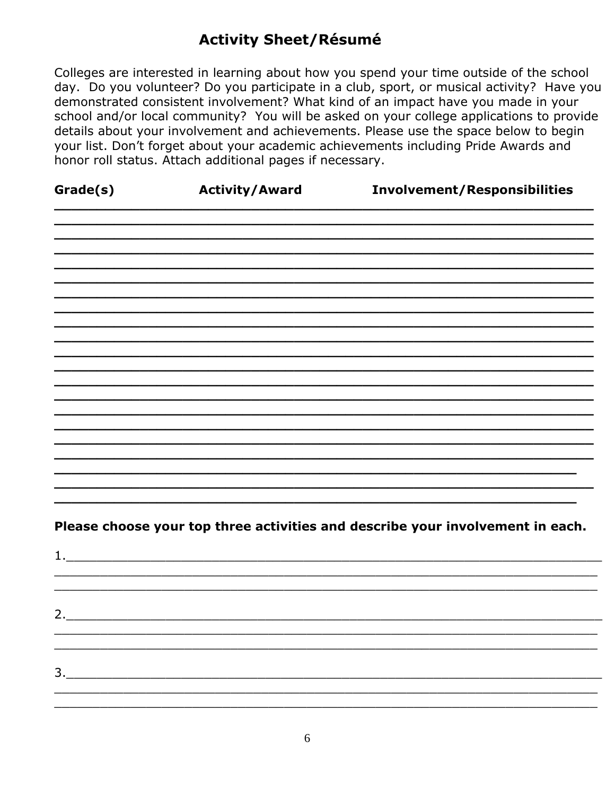### **Activity Sheet/Résumé**

Colleges are interested in learning about how you spend your time outside of the school day. Do you volunteer? Do you participate in a club, sport, or musical activity? Have you demonstrated consistent involvement? What kind of an impact have you made in your school and/or local community? You will be asked on your college applications to provide details about your involvement and achievements. Please use the space below to begin your list. Don't forget about your academic achievements including Pride Awards and honor roll status. Attach additional pages if necessary.

| Grade(s) | <b>Activity/Award</b> | <b>Involvement/Responsibilities</b> |
|----------|-----------------------|-------------------------------------|
|          |                       |                                     |
|          |                       |                                     |
|          |                       |                                     |
|          |                       |                                     |
|          |                       |                                     |
|          |                       |                                     |
|          |                       |                                     |
|          |                       |                                     |
|          |                       |                                     |
|          |                       |                                     |
|          |                       |                                     |
|          |                       |                                     |

Please choose your top three activities and describe your involvement in each.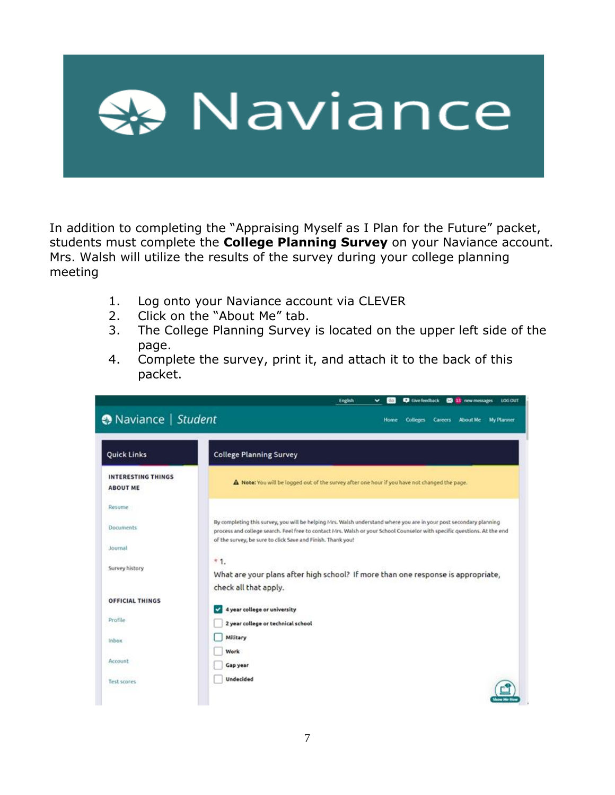

In addition to completing the "Appraising Myself as I Plan for the Future" packet, students must complete the **College Planning Survey** on your Naviance account. Mrs. Walsh will utilize the results of the survey during your college planning meeting

- 1. Log onto your Naviance account via CLEVER
- 2. Click on the "About Me" tab.
- 3. The College Planning Survey is located on the upper left side of the page.
- 4. Complete the survey, print it, and attach it to the back of this packet.

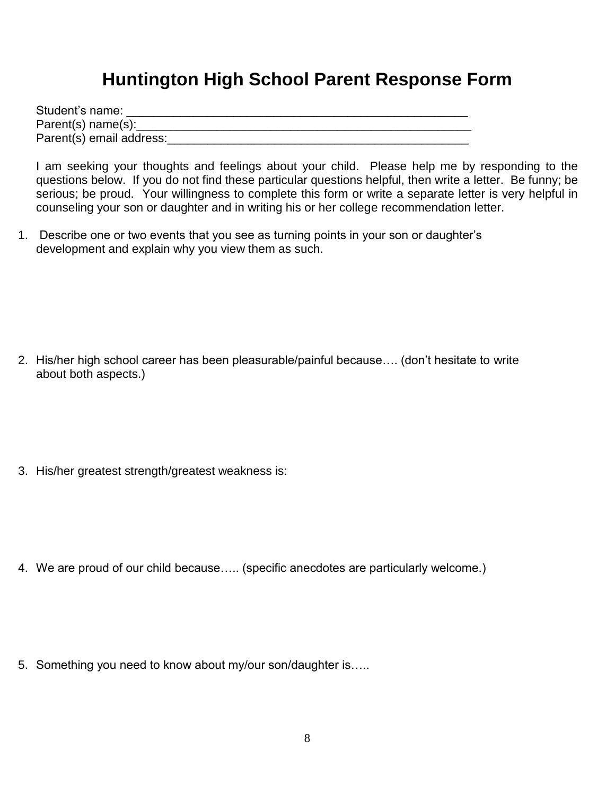# **Huntington High School Parent Response Form**

| Student's name:          |  |
|--------------------------|--|
| Parent(s) name(s):       |  |
| Parent(s) email address: |  |

I am seeking your thoughts and feelings about your child. Please help me by responding to the questions below. If you do not find these particular questions helpful, then write a letter. Be funny; be serious; be proud. Your willingness to complete this form or write a separate letter is very helpful in counseling your son or daughter and in writing his or her college recommendation letter.

1. Describe one or two events that you see as turning points in your son or daughter's development and explain why you view them as such.

2. His/her high school career has been pleasurable/painful because…. (don't hesitate to write about both aspects.)

3. His/her greatest strength/greatest weakness is:

4. We are proud of our child because….. (specific anecdotes are particularly welcome.)

5. Something you need to know about my/our son/daughter is…..